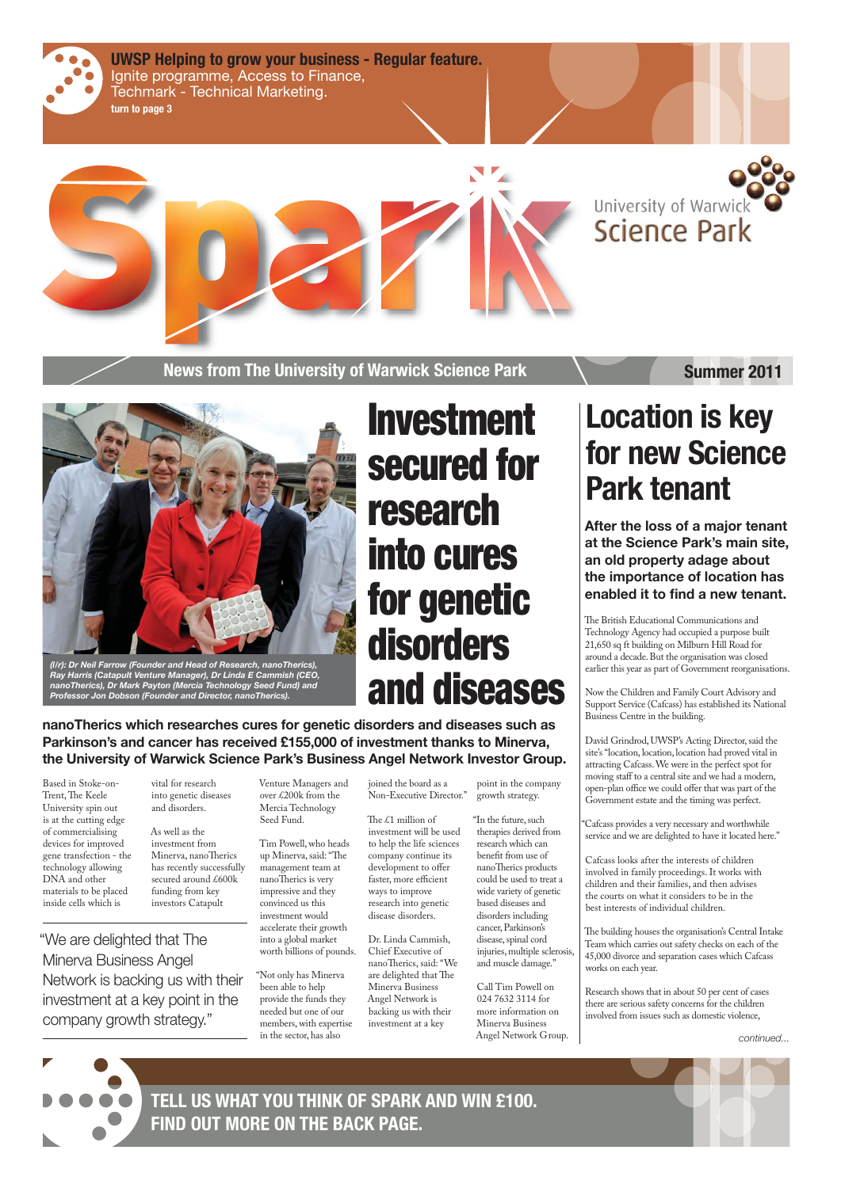

**UWSP Helping to grow your business - Regular feature.**  Ignite programme, Access to Finance, Techmark - Technical Marketing. **turn to page 3**

> University of Warwick **Science Park**

**News from The University of Warwick Science Park <b>Summer 2011** 

**nanoTherics which researches cures for genetic disorders and diseases such as Parkinson's and cancer has received £155,000 of investment thanks to Minerva, the University of Warwick Science Park's Business Angel Network Investor Group.**

Based in Stoke-on-Trent, The Keele University spin out is at the cutting edge of commercialising devices for improved gene transfection - the technology allowing DNA and other materials to be placed

inside cells which is

vital for research into genetic diseases and disorders.

The  $£1$  million of investment will be used to help the life sciences company continue its development to offer faster, more efficient ways to improve

As well as the investment from Minerva, nanoTherics has recently successfully secured around £600k funding from key

investors Catapult

Venture Managers and over £200k from the Mercia Technology

Seed Fund.

Tim Powell, who heads up Minerva, said: "The management team at nanoTherics is very impressive and they

**After the loss of a major tenant at the Science Park's main site, an old property adage about the importance of location has enabled it to find a new tenant.** 

convinced us this investment would accelerate their growth into a global market worth billions of pounds. "Not only has Minerva been able to help provide the funds they needed but one of our members, with expertise in the sector, has also

The British Educational Communications and Technology Agency had occupied a purpose built 21,650 sq ft building on Milburn Hill Road for around a decade. But the organisation was closed earlier this year as part of Government reorganisations.

joined the board as a Non-Executive Director."

> "Cafcass provides a very necessary and worthwhile service and we are delighted to have it located here."

research into genetic disease disorders.

Dr. Linda Cammish, Chief Executive of nanoTherics, said: "We are delighted that The Minerva Business Angel Network is backing us with their investment at a key

point in the company growth strategy.

> The building houses the organisation's Central Intake Team which carries out safety checks on each of the 45,000 divorce and separation cases which Cafcass works on each year.

"In the future, such therapies derived from research which can benefit from use of nanoTherics products could be used to treat a wide variety of genetic

based diseases and disorders including cancer, Parkinson's disease, spinal cord injuries, multiple sclerosis, and muscle damage."

Call Tim Powell on 024 7632 3114 for more information on Minerva Business Angel Network G roup.

## **Location is key for new Science Park tenant**

*continued...*

Now the Children and Family Court Advisory and Support Service (Cafcass) has established its National Business Centre in the building.

David Grindrod, UWSP's Acting Director, said the site's "location, location, location had proved vital in attracting Cafcass. We were in the perfect spot for moving staff to a central site and we had a modern, open-plan office we could offer that was part of the Government estate and the timing was perfect.

Cafcass looks after the interests of children involved in family proceedings. It works with children and their families, and then advises the courts on what it considers to be in the best interests of individual children.

Research shows that in about 50 per cent of cases there are serious safety concerns for the children involved from issues such as domestic violence,

# Investment secured for research into cures for genetic disorders and diseases



*(l/r): Dr Neil Farrow (Founder and Head of Research, nanoTherics), Ray Harris (Catapult Venture Manager), Dr Linda E Cammish (CEO, nanoTherics), Dr Mark Payton (Mercia Technology Seed Fund) and Professor Jon Dobson (Founder and Director, nanoTherics).*

"We are delighted that The Minerva Business Angel Network is backing us with their investment at a key point in the company growth strategy."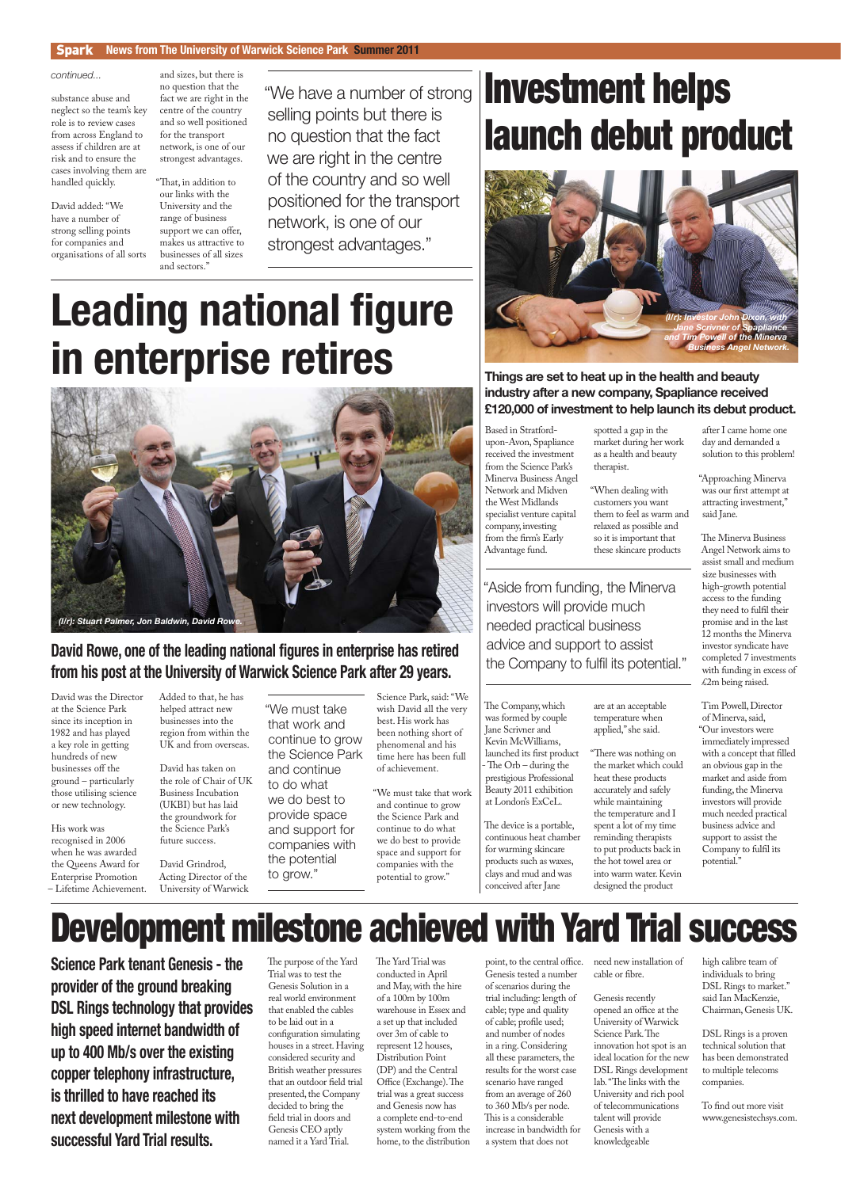#### Spark **News from The University of Warwick Science Park Summer 2011**

substance abuse and neglect so the team's key role is to review cases from across England to assess if children are at risk and to ensure the cases involving them are handled quickly.

David added: "We have a number of strong selling points for companies and organisations of all sorts "That, in addition to our links with the University and the range of business support we can offer, makes us attractive to businesses of all sizes and sectors."

and sizes, but there is no question that the fact we are right in the centre of the country and so well positioned for the transport network, is one of our strongest advantages.

# *continued...*<br>
substance abuse and fact we are right in the "We have a number of strong **Investimate in All news** launch debut product

The Company, which was formed by couple Jane Scrivner and Kevin McWilliams, launched its first product - The Orb – during the prestigious Professional Beauty 2011 exhibition at London's ExCeL.

"We have a number of strong selling points but there is no question that the fact we are right in the centre of the country and so well positioned for the transport network, is one of our strongest advantages."

> The device is a portable, continuous heat chamber for warming skincare products such as waxes, clays and mud and was conceived after Jane

**Things are set to heat up in the health and beauty industry after a new company, Spapliance received £120,000 of investment to help launch its debut product.**

> "There was nothing on the market which could heat these products accurately and safely while maintaining the temperature and I spent a lot of my time reminding therapists to put products back in the hot towel area or into warm water. Kevin designed the product

Based in Stratfordupon-Avon, Spapliance received the investment from the Science Park's Minerva Business Angel Network and Midven the West Midlands specialist venture capital company, investing from the firm's Early Advantage fund.

The Minerva Business Angel Network aims to assist small and medium size businesses with high-growth potential access to the funding they need to fulfil their promise and in the last 12 months the Minerva investor syndicate have completed 7 investments with funding in excess of £2m being raised.

"Aside from funding, the Minerva investors will provide much needed practical business advice and support to assist the Company to fulfil its potential."

# **Leading national figure in enterprise retires**

### **David Rowe, one of the leading national figures in enterprise has retired from his post at the University of Warwick Science Park after 29 years.**

spotted a gap in the market during her work as a health and beauty therapist.

"When dealing with customers you want them to feel as warm and relaxed as possible and so it is important that these skincare products

are at an acceptable temperature when applied," she said.

after I came home one day and demanded a solution to this problem!

"Approaching Minerva was our first attempt at attracting investment," said Jane.

The purpose of the Yard Trial was to test the Genesis Solution in a real world environment that enabled the cables to be laid out in a configuration simulating houses in a street. Having considered security and British weather pressures that an outdoor field trial presented, the Company decided to bring the field trial in doors and Genesis CEO aptly named it a Yard Trial.

Tim Powell, Director of Minerva, said, "Our investors were immediately impressed with a concept that filled an obvious gap in the market and aside from funding, the Minerva investors will provide much needed practical business advice and support to assist the Company to fulfil its potential."

The Yard Trial was conducted in April and May, with the hire of a 100m by 100m warehouse in Essex and a set up that included over 3m of cable to represent 12 houses, Distribution Point (DP) and the Central Office (Exchange). The trial was a great success and Genesis now has a complete end-to-end system working from the home, to the distribution

point, to the central office. Genesis tested a number of scenarios during the trial including: length of cable; type and quality of cable; profile used; and number of nodes in a ring. Considering all these parameters, the results for the worst case scenario have ranged from an average of 260 to 360 Mb/s per node. This is a considerable increase in bandwidth for a system that does not



To find out more visit www.genesistechsys.com.

David was the Director at the Science Park since its inception in 1982 and has played a key role in getting hundreds of new businesses off the ground – particularly those utilising science or new technology.

His work was recognised in 2006 when he was awarded the Queens Award for Enterprise Promotion – Lifetime Achievement. Added to that, he has helped attract new businesses into the region from within the UK and from overseas.

David has taken on the role of Chair of UK Business Incubation (UKBI) but has laid the groundwork for the Science Park's future success.

David Grindrod, Acting Director of the University of Warwick

Science Park, said: "We wish David all the very best. His work has been nothing short of phenomenal and his time here has been full of achievement.

"We must take that work and continue to grow the Science Park and continue to do what we do best to provide space and support for companies with the potential to grow."

"We must take that work and continue to grow the Science Park and continue to do what we do best to provide space and support for companies with the potential

to grow."



## Development milestone achieved with Yard Trial success

**Science Park tenant Genesis - the provider of the ground breaking DSL Rings technology that provides high speed internet bandwidth of up to 400 Mb/s over the existing copper telephony infrastructure, is thrilled to have reached its next development milestone with successful Yard Trial results.** 

need new installation of cable or fibre. Genesis recently opened an office at the University of Warwick Science Park. The innovation hot spot is an ideal location for the new DSL Rings development lab. "The links with the University and rich pool of telecommunications talent will provide Genesis with a knowledgeable

high calibre team of individuals to bring DSL Rings to market." said Ian MacKenzie, Chairman, Genesis UK.

DSL Rings is a proven technical solution that has been demonstrated to multiple telecoms companies.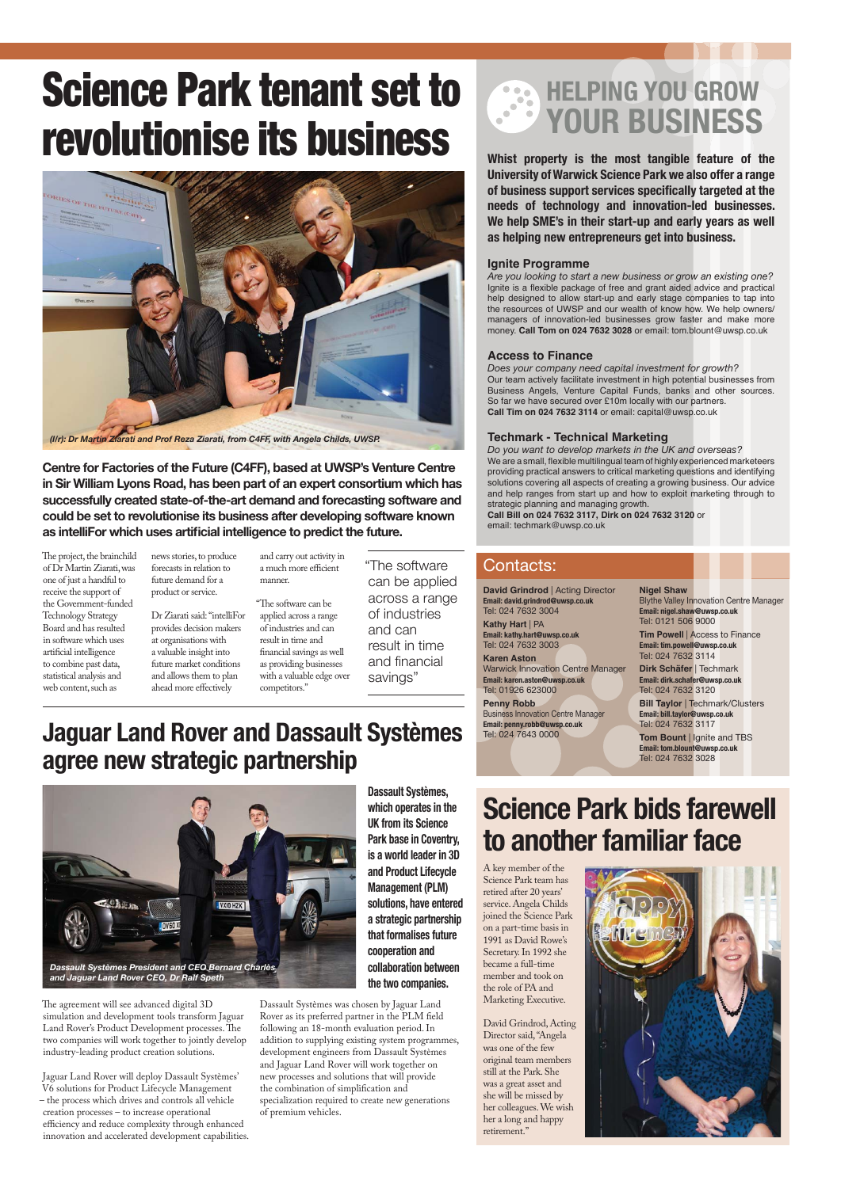**Whist property is the most tangible feature of the University of Warwick Science Park we also offer a range of business support services specifically targeted at the needs of technology and innovation-led businesses. We help SME's in their start-up and early years as well as helping new entrepreneurs get into business.**

#### **Ignite Programme**

*Are you looking to start a new business or grow an existing one?* Ignite is a flexible package of free and grant aided advice and practical help designed to allow start-up and early stage companies to tap into the resources of UWSP and our wealth of know how. We help owners/ managers of innovation-led businesses grow faster and make more money. **Call Tom on 024 7632 3028** or email: tom.blount@uwsp.co.uk

#### **Access to Finance**

*Does your company need capital investment for growth?* Our team actively facilitate investment in high potential businesses from Business Angels, Venture Capital Funds, banks and other sources. So far we have secured over £10m locally with our partners. **Call Tim on 024 7632 3114** or email: capital@uwsp.co.uk

> **Tim Powell** | Access to Finance **Email: tim.powell@uwsp.co.uk** Tel: 024 7632 3114

#### **Techmark - Technical Marketing**

*Do you want to develop markets in the UK and overseas?* We are a small, flexible multilingual team of highly experienced marketeers providing practical answers to critical marketing questions and identifying solutions covering all aspects of creating a growing business. Our advice and help ranges from start up and how to exploit marketing through to strategic planning and managing growth. **Call Bill on 024 7632 3117, Dirk on 024 7632 3120** or

email: techmark@uwsp.co.uk

The agreement will see advanced digital 3D simulation and development tools transform Jaguar Land Rover's Product Development processes. The two companies will work together to jointly develop industry-leading product creation solutions.

**David Grindrod** | Acting Director **Email: david.grindrod@uwsp.co.uk** Tel: 024 7632 3004 **Kathy Hart** | PA

**Email: kathy.hart@uwsp.co.uk** Tel: 024 7632 3003 **Karen Aston**

Warwick Innovation Centre Manager **Email: karen.aston@uwsp.co.uk** Tel: 01926 623000 **Penny Robb** Business Innovation Centre Manager **Email: penny.robb@uwsp.co.uk** Tel: 024 7643 0000

#### **Nigel Shaw**

Blythe Valley Innovation Centre Manager **Email: nigel.shaw@uwsp.co.uk** Tel: 0121 506 9000

**Centre for Factories of the Future (C4FF), based at UWSP's Venture Centre in Sir William Lyons Road, has been part of an expert consortium which has successfully created state-of-the-art demand and forecasting software and could be set to revolutionise its business after developing software known**  as intelliFor which uses artificial intelligence to predict the future.

> **Dirk Schäfer** | Techmark **Email: dirk.schafer@uwsp.co.uk** Tel: 024 7632 3120 **Bill Taylor** | Techmark/Clusters

**Email: bill.taylor@uwsp.co.uk** Tel: 024 7632 3117

**Tom Bount** | Ignite and TBS **Email: tom.blount@uwsp.co.uk** Tel: 024 7632 3028

### **HELPING YOU GROW** 3 **YOUR BUSINESS**

### Contacts:

## **Science Park bids farewell to another familiar face**

A key member of the Science Park team has retired after 20 years'



The project, the brainchild of Dr Martin Ziarati, was one of just a handful to receive the support of the Government-funded Technology Strategy Board and has resulted in software which uses artificial intelligence to combine past data, statistical analysis and web content, such as

Dr Ziarati said: "intelliFor provides decision makers at organisations with a valuable insight into future market conditions and allows them to plan ahead more effectively

> service. Angela Childs joined the Science Park on a part-time basis in 1991 as David Rowe's Secretary. In 1992 she became a full-time member and took on the role of PA and Marketing Executive.

"The software can be applied across a range of industries and can result in time and financial savings as well as providing businesses with a valuable edge over competitors."

> David Grindrod, Acting Director said, "Angela was one of the few original team members still at the Park. She was a great asset and she will be missed by her colleagues. We wish her a long and happy retirement."



Jaguar Land Rover will deploy Dassault Systèmes' V6 solutions for Product Lifecycle Management – the process which drives and controls all vehicle creation processes – to increase operational efficiency and reduce complexity through enhanced innovation and accelerated development capabilities.

Dassault Systèmes was chosen by Jaguar Land Rover as its preferred partner in the PLM field following an 18-month evaluation period. In addition to supplying existing system programmes, development engineers from Dassault Systèmes and Jaguar Land Rover will work together on new processes and solutions that will provide the combination of simplification and specialization required to create new generations of premium vehicles.

# Science Park tenant set to revolutionise its business

**Dassault Systèmes, which operates in the UK from its Science Park base in Coventry, is a world leader in 3D and Product Lifecycle Management (PLM)** 

**solutions, have entered a strategic partnership that formalises future cooperation and collaboration between the two companies.**

news stories, to produce forecasts in relation to future demand for a product or service.

and carry out activity in a much more efficient manner.



*(l/r): Dr Martin Ziarati and Prof Reza Ziarati, from C4FF, with Angela Childs, UWSP.*

"The software can be applied across a range of industries and can result in time and financial savings"

## **Jaguar Land Rover and Dassault Systèmes agree new strategic partnership**